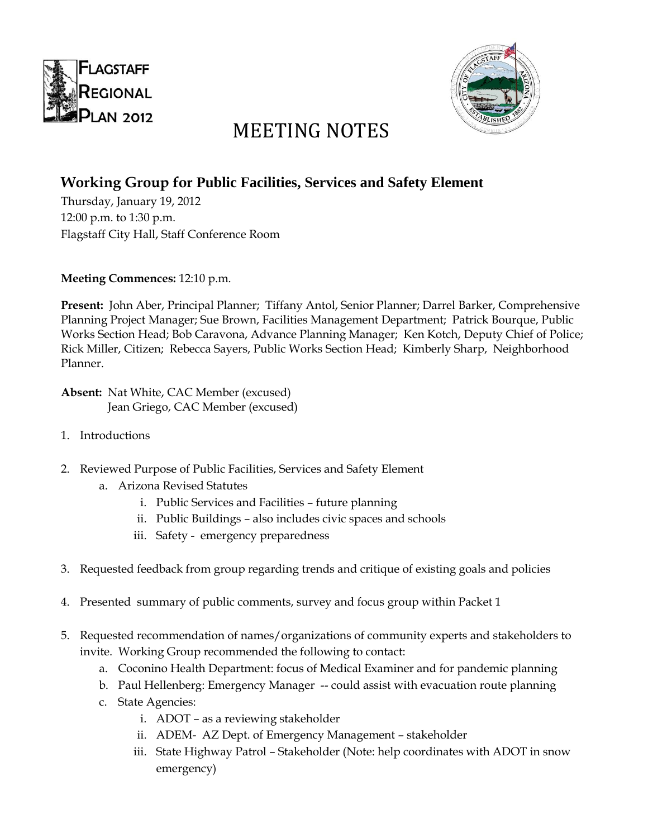



## MEETING NOTES

## **Working Group for Public Facilities, Services and Safety Element**

Thursday, January 19, 2012 12:00 p.m. to 1:30 p.m. Flagstaff City Hall, Staff Conference Room

**Meeting Commences:** 12:10 p.m.

**Present:** John Aber, Principal Planner; Tiffany Antol, Senior Planner; Darrel Barker, Comprehensive Planning Project Manager; Sue Brown, Facilities Management Department; Patrick Bourque, Public Works Section Head; Bob Caravona, Advance Planning Manager; Ken Kotch, Deputy Chief of Police; Rick Miller, Citizen; Rebecca Sayers, Public Works Section Head; Kimberly Sharp, Neighborhood Planner.

**Absent:** Nat White, CAC Member (excused) Jean Griego, CAC Member (excused)

- 1. Introductions
- 2. Reviewed Purpose of Public Facilities, Services and Safety Element
	- a. Arizona Revised Statutes
		- i. Public Services and Facilities future planning
		- ii. Public Buildings also includes civic spaces and schools
		- iii. Safety emergency preparedness
- 3. Requested feedback from group regarding trends and critique of existing goals and policies
- 4. Presented summary of public comments, survey and focus group within Packet 1
- 5. Requested recommendation of names/organizations of community experts and stakeholders to invite. Working Group recommended the following to contact:
	- a. Coconino Health Department: focus of Medical Examiner and for pandemic planning
	- b. Paul Hellenberg: Emergency Manager -- could assist with evacuation route planning
	- c. State Agencies:
		- i. ADOT as a reviewing stakeholder
		- ii. ADEM- AZ Dept. of Emergency Management stakeholder
		- iii. State Highway Patrol Stakeholder (Note: help coordinates with ADOT in snow emergency)